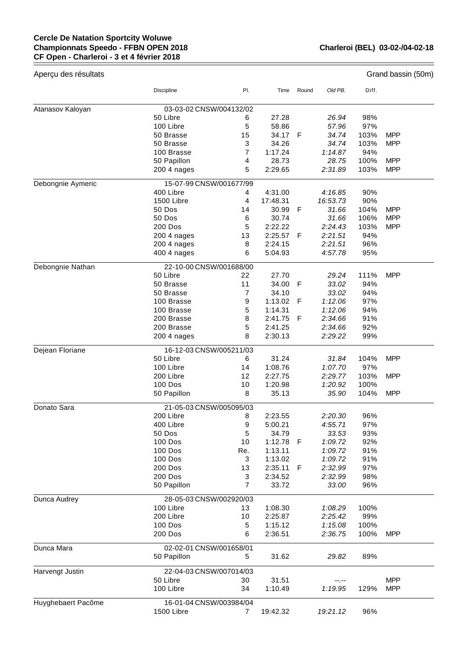## **Cercle De Natation Sportcity Woluwe Championnats Speedo - FFBN OPEN 2018 CF Open - Charleroi - 3 et 4 février 2018**

| Aperçu des résultats |                         |                |          |              |          |       | Grand bassin (50m) |  |
|----------------------|-------------------------|----------------|----------|--------------|----------|-------|--------------------|--|
|                      | Discipline              | PI.            | Time     | Round        | Old PB.  | Diff. |                    |  |
| Atanasov Kaloyan     | 03-03-02 CNSW/004132/02 |                |          |              |          |       |                    |  |
|                      | 50 Libre                | 6              | 27.28    |              | 26.94    | 98%   |                    |  |
|                      | 100 Libre               | 5              | 58.86    |              | 57.96    | 97%   |                    |  |
|                      | 50 Brasse               | 15             | 34.17    | F            | 34.74    | 103%  | <b>MPP</b>         |  |
|                      | 50 Brasse               | 3              | 34.26    |              | 34.74    | 103%  | <b>MPP</b>         |  |
|                      | 100 Brasse              | 7              | 1:17.24  |              | 1:14.87  | 94%   |                    |  |
|                      | 50 Papillon             | 4              | 28.73    |              | 28.75    | 100%  | <b>MPP</b>         |  |
|                      | 200 4 nages             | 5              | 2:29.65  |              | 2:31.89  | 103%  | <b>MPP</b>         |  |
| Debongnie Aymeric    | 15-07-99 CNSW/001677/99 |                |          |              |          |       |                    |  |
|                      | 400 Libre               | 4              | 4:31.00  |              | 4:16.85  | 90%   |                    |  |
|                      | 1500 Libre              | $\overline{4}$ | 17:48.31 |              | 16:53.73 | 90%   |                    |  |
|                      | 50 Dos                  | 14             | 30.99    | F            | 31.66    | 104%  | <b>MPP</b>         |  |
|                      | 50 Dos                  | 6              | 30.74    |              | 31.66    | 106%  | <b>MPP</b>         |  |
|                      | 200 Dos                 | 5              | 2:22.22  |              | 2:24.43  | 103%  | <b>MPP</b>         |  |
|                      | 200 4 nages             | 13             | 2:25.57  | F            | 2:21.51  | 94%   |                    |  |
|                      | 200 4 nages             | 8              | 2:24.15  |              | 2:21.51  | 96%   |                    |  |
|                      | 400 4 nages             | 6              | 5:04.93  |              | 4:57.78  | 95%   |                    |  |
| Debongnie Nathan     | 22-10-00 CNSW/001688/00 |                |          |              |          |       |                    |  |
|                      | 50 Libre                | 22             | 27.70    |              | 29.24    | 111%  | <b>MPP</b>         |  |
|                      | 50 Brasse               | 11             | 34.00    | $\mathsf{F}$ | 33.02    | 94%   |                    |  |
|                      | 50 Brasse               | 7              | 34.10    |              | 33.02    | 94%   |                    |  |
|                      | 100 Brasse              | 9              | 1:13.02  | F            | 1:12.06  | 97%   |                    |  |
|                      | 100 Brasse              | 5              | 1:14.31  |              | 1:12.06  | 94%   |                    |  |
|                      | 200 Brasse              | 8              | 2:41.75  | F            | 2:34.66  | 91%   |                    |  |
|                      | 200 Brasse              | 5              | 2:41.25  |              | 2:34.66  | 92%   |                    |  |
|                      | 200 4 nages             | 8              | 2:30.13  |              | 2:29.22  | 99%   |                    |  |
| Dejean Floriane      | 16-12-03 CNSW/005211/03 |                |          |              |          |       |                    |  |
|                      | 50 Libre                | 6              | 31.24    |              | 31.84    | 104%  | MPP                |  |
|                      | 100 Libre               | 14             | 1:08.76  |              | 1:07.70  | 97%   |                    |  |
|                      | 200 Libre               | 12             | 2:27.75  |              | 2:29.77  | 103%  | <b>MPP</b>         |  |
|                      | <b>100 Dos</b>          | 10             | 1:20.98  |              | 1:20.92  | 100%  |                    |  |
|                      | 50 Papillon             | 8              | 35.13    |              | 35.90    | 104%  | <b>MPP</b>         |  |
| Donato Sara          | 21-05-03 CNSW/005095/03 |                |          |              |          |       |                    |  |
|                      | 200 Libre               | 8              | 2:23.55  |              | 2:20.30  | 96%   |                    |  |
|                      | 400 Libre               | 9              | 5:00.21  |              | 4:55.71  | 97%   |                    |  |
|                      | 50 Dos                  | 5              | 34.79    |              | 33.53    | 93%   |                    |  |
|                      | 100 Dos                 | 10             | 1:12.78  | F            | 1:09.72  | 92%   |                    |  |
|                      | 100 Dos                 | Re.            | 1:13.11  |              | 1:09.72  | 91%   |                    |  |
|                      | 100 Dos                 | 3              | 1:13.02  |              | 1:09.72  | 91%   |                    |  |
|                      | 200 Dos                 | 13             | 2:35.11  | F            | 2:32.99  | 97%   |                    |  |
|                      | <b>200 Dos</b>          | 3              | 2:34.52  |              | 2:32.99  | 98%   |                    |  |
|                      | 50 Papillon             | 7              | 33.72    |              | 33.00    | 96%   |                    |  |
| Dunca Audrey         | 28-05-03 CNSW/002920/03 |                |          |              |          |       |                    |  |
|                      | 100 Libre               | 13             | 1:08.30  |              | 1:08.29  | 100%  |                    |  |
|                      | 200 Libre               | 10             | 2:25.87  |              | 2:25.42  | 99%   |                    |  |
|                      | 100 Dos                 | 5              | 1:15.12  |              | 1:15.08  | 100%  |                    |  |
|                      | 200 Dos                 | 6              | 2:36.51  |              | 2:36.75  | 100%  | <b>MPP</b>         |  |
| Dunca Mara           | 02-02-01 CNSW/001658/01 |                |          |              |          |       |                    |  |
|                      | 50 Papillon             | 5              | 31.62    |              | 29.82    | 89%   |                    |  |
| Harvengt Justin      | 22-04-03 CNSW/007014/03 |                |          |              |          |       |                    |  |
|                      | 50 Libre                | 30             | 31.51    |              | --.--    |       | <b>MPP</b>         |  |
|                      | 100 Libre               | 34             | 1:10.49  |              | 1:19.95  | 129%  | <b>MPP</b>         |  |
| Huyghebaert Pacôme   | 16-01-04 CNSW/003984/04 |                |          |              |          |       |                    |  |
|                      | 1500 Libre              | 7              | 19:42.32 |              | 19:21.12 | 96%   |                    |  |
|                      |                         |                |          |              |          |       |                    |  |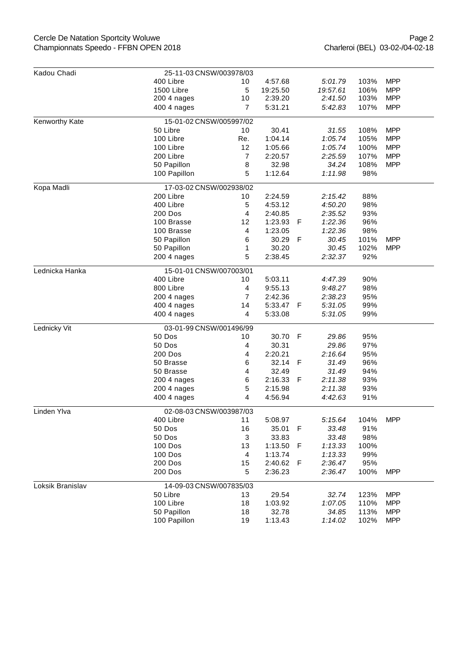## Cercle De Natation Sportcity Woluwe Championnats Speedo - FFBN OPEN 2018

| Kadou Chadi      | 25-11-03 CNSW/003978/03                       |                |          |     |                  |      |            |  |  |
|------------------|-----------------------------------------------|----------------|----------|-----|------------------|------|------------|--|--|
|                  | 400 Libre                                     | 10             | 4:57.68  |     | 5:01.79          | 103% | <b>MPP</b> |  |  |
|                  | 1500 Libre                                    | 5              | 19:25.50 |     | 19:57.61         | 106% | <b>MPP</b> |  |  |
|                  | 200 4 nages                                   | 10             | 2:39.20  |     | 2:41.50          | 103% | <b>MPP</b> |  |  |
|                  | 400 4 nages                                   | $\overline{7}$ | 5:31.21  |     | 5:42.83          | 107% | <b>MPP</b> |  |  |
|                  |                                               |                |          |     |                  |      |            |  |  |
| Kenworthy Kate   | 15-01-02 CNSW/005997/02                       |                |          |     |                  |      |            |  |  |
|                  | 50 Libre                                      | 10             | 30.41    |     | 31.55            | 108% | <b>MPP</b> |  |  |
|                  | 100 Libre                                     | Re.            | 1:04.14  |     | 1:05.74          | 105% | <b>MPP</b> |  |  |
|                  | 100 Libre                                     | 12             | 1:05.66  |     | 1:05.74          | 100% | <b>MPP</b> |  |  |
|                  | 200 Libre                                     | 7              | 2:20.57  |     | 2:25.59          | 107% | <b>MPP</b> |  |  |
|                  | 50 Papillon                                   | 8              | 32.98    |     | 34.24            | 108% | <b>MPP</b> |  |  |
|                  | 100 Papillon                                  | 5              | 1:12.64  |     | 1:11.98          | 98%  |            |  |  |
| Kopa Madli       | 17-03-02 CNSW/002938/02                       |                |          |     |                  |      |            |  |  |
|                  | 200 Libre                                     | 10             | 2:24.59  |     | 2:15.42          | 88%  |            |  |  |
|                  | 400 Libre                                     | 5              | 4:53.12  |     | 4:50.20          | 98%  |            |  |  |
|                  | 200 Dos                                       | 4              | 2:40.85  |     | 2:35.52          | 93%  |            |  |  |
|                  | 100 Brasse                                    | 12             | 1:23.93  | F   | 1:22.36          | 96%  |            |  |  |
|                  | 100 Brasse                                    | 4              | 1:23.05  |     | 1:22.36          | 98%  |            |  |  |
|                  | 50 Papillon                                   | 6              | 30.29    | F   | 30.45            | 101% | <b>MPP</b> |  |  |
|                  | 50 Papillon                                   | 1              | 30.20    |     | 30.45            | 102% | <b>MPP</b> |  |  |
|                  | 200 4 nages                                   | 5              | 2:38.45  |     | 2:32.37          | 92%  |            |  |  |
| Lednicka Hanka   | 15-01-01 CNSW/007003/01                       |                |          |     |                  |      |            |  |  |
|                  | 400 Libre                                     | 10             | 5:03.11  |     | 4:47.39          | 90%  |            |  |  |
|                  | 800 Libre                                     | 4              | 9:55.13  |     | 9:48.27          | 98%  |            |  |  |
|                  | 200 4 nages                                   | $\overline{7}$ | 2:42.36  |     | 2:38.23          | 95%  |            |  |  |
|                  | 400 4 nages                                   | 14             | 5:33.47  | -F  | 5:31.05          | 99%  |            |  |  |
|                  | 400 4 nages                                   | 4              | 5:33.08  |     | 5:31.05          | 99%  |            |  |  |
| Lednicky Vit     | 03-01-99 CNSW/001496/99                       |                |          |     |                  |      |            |  |  |
|                  | 50 Dos                                        | 10             | 30.70    | F   | 29.86            | 95%  |            |  |  |
|                  | 50 Dos                                        | 4              | 30.31    |     | 29.86            | 97%  |            |  |  |
|                  |                                               |                |          |     |                  |      |            |  |  |
|                  | 200 Dos                                       | 4              | 2:20.21  |     | 2:16.64          | 95%  |            |  |  |
|                  | 50 Brasse                                     | 6              | 32.14    | F   | 31.49            | 96%  |            |  |  |
|                  | 50 Brasse                                     | 4              | 32.49    |     | 31.49<br>2:11.38 | 94%  |            |  |  |
|                  | 200 4 nages                                   | 6              | 2:16.33  | F   |                  | 93%  |            |  |  |
|                  | 200 4 nages                                   | 5              | 2:15.98  |     | 2:11.38          | 93%  |            |  |  |
|                  | 4<br>4:56.94<br>4:42.63<br>91%<br>400 4 nages |                |          |     |                  |      |            |  |  |
| Linden Ylva      | 02-08-03 CNSW/003987/03                       |                |          |     |                  |      |            |  |  |
|                  | 400 Libre                                     | 11             | 5:08.97  |     | 5:15.64          | 104% | <b>MPP</b> |  |  |
|                  | 50 Dos                                        | 16             | 35.01    | F   | 33.48            | 91%  |            |  |  |
|                  | 50 Dos                                        | 3              | 33.83    |     | 33.48            | 98%  |            |  |  |
|                  | <b>100 Dos</b>                                | 13             | 1:13.50  | F   | 1:13.33          | 100% |            |  |  |
|                  | <b>100 Dos</b>                                | 4              | 1:13.74  |     | 1:13.33          | 99%  |            |  |  |
|                  | 200 Dos                                       | 15             | 2:40.62  | - F | 2:36.47          | 95%  |            |  |  |
|                  | <b>200 Dos</b>                                | 5              | 2:36.23  |     | 2:36.47          | 100% | <b>MPP</b> |  |  |
| Loksik Branislav | 14-09-03 CNSW/007835/03                       |                |          |     |                  |      |            |  |  |
|                  | 50 Libre                                      | 13             | 29.54    |     | 32.74            | 123% | <b>MPP</b> |  |  |
|                  | 100 Libre                                     | 18             | 1:03.92  |     | 1:07.05          | 110% | <b>MPP</b> |  |  |
|                  | 50 Papillon                                   | 18             | 32.78    |     | 34.85            | 113% | <b>MPP</b> |  |  |
|                  | 100 Papillon                                  | 19             | 1:13.43  |     | 1:14.02          | 102% | <b>MPP</b> |  |  |